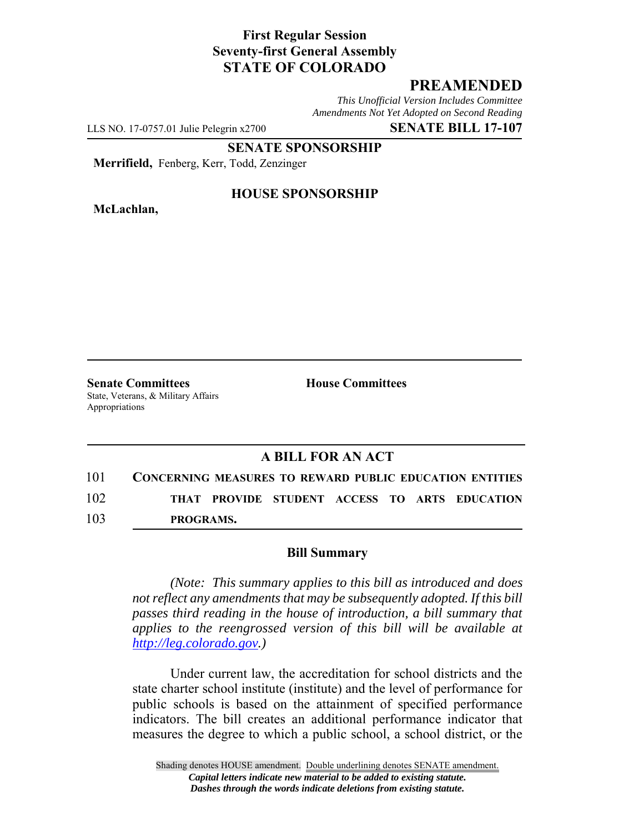## **First Regular Session Seventy-first General Assembly STATE OF COLORADO**

# **PREAMENDED**

*This Unofficial Version Includes Committee Amendments Not Yet Adopted on Second Reading*

LLS NO. 17-0757.01 Julie Pelegrin x2700 **SENATE BILL 17-107**

**SENATE SPONSORSHIP**

**Merrifield,** Fenberg, Kerr, Todd, Zenzinger

**McLachlan,**

#### **HOUSE SPONSORSHIP**

**Senate Committees House Committees** State, Veterans, & Military Affairs Appropriations

# **A BILL FOR AN ACT**

101 **CONCERNING MEASURES TO REWARD PUBLIC EDUCATION ENTITIES** 102 **THAT PROVIDE STUDENT ACCESS TO ARTS EDUCATION** 103 **PROGRAMS.**

### **Bill Summary**

*(Note: This summary applies to this bill as introduced and does not reflect any amendments that may be subsequently adopted. If this bill passes third reading in the house of introduction, a bill summary that applies to the reengrossed version of this bill will be available at http://leg.colorado.gov.)*

Under current law, the accreditation for school districts and the state charter school institute (institute) and the level of performance for public schools is based on the attainment of specified performance indicators. The bill creates an additional performance indicator that measures the degree to which a public school, a school district, or the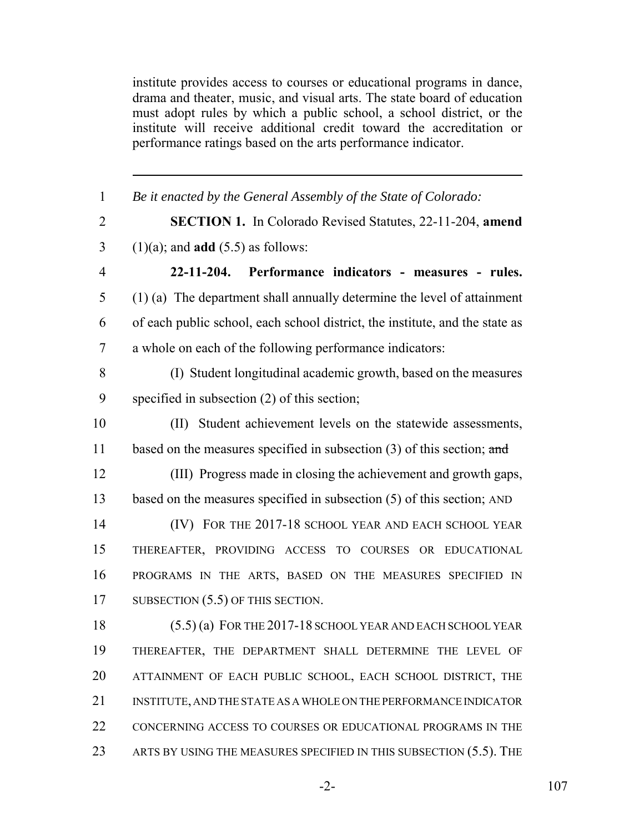institute provides access to courses or educational programs in dance, drama and theater, music, and visual arts. The state board of education must adopt rules by which a public school, a school district, or the institute will receive additional credit toward the accreditation or performance ratings based on the arts performance indicator.

| 1              | Be it enacted by the General Assembly of the State of Colorado:              |
|----------------|------------------------------------------------------------------------------|
| $\overline{2}$ | <b>SECTION 1.</b> In Colorado Revised Statutes, 22-11-204, amend             |
| 3              | $(1)(a)$ ; and <b>add</b> $(5.5)$ as follows:                                |
| $\overline{4}$ | 22-11-204. Performance indicators - measures - rules.                        |
| 5              | $(1)$ (a) The department shall annually determine the level of attainment    |
| 6              | of each public school, each school district, the institute, and the state as |
| 7              | a whole on each of the following performance indicators:                     |
| 8              | (I) Student longitudinal academic growth, based on the measures              |
| 9              | specified in subsection $(2)$ of this section;                               |
| 10             | (II) Student achievement levels on the statewide assessments,                |
| 11             | based on the measures specified in subsection $(3)$ of this section; and     |
| 12             | (III) Progress made in closing the achievement and growth gaps,              |
| 13             | based on the measures specified in subsection $(5)$ of this section; AND     |
| 14             | (IV) FOR THE 2017-18 SCHOOL YEAR AND EACH SCHOOL YEAR                        |
| 15             | THEREAFTER, PROVIDING ACCESS TO COURSES OR EDUCATIONAL                       |
| 16             | PROGRAMS IN THE ARTS, BASED ON THE MEASURES SPECIFIED IN                     |
| 17             | SUBSECTION $(5.5)$ OF THIS SECTION.                                          |
| 18             | $(5.5)$ (a) FOR THE 2017-18 SCHOOL YEAR AND EACH SCHOOL YEAR                 |
| 19             | THEREAFTER, THE DEPARTMENT SHALL DETERMINE THE LEVEL OF                      |
| 20             | ATTAINMENT OF EACH PUBLIC SCHOOL, EACH SCHOOL DISTRICT, THE                  |
| 21             | INSTITUTE, AND THE STATE AS A WHOLE ON THE PERFORMANCE INDICATOR             |
| 22             | CONCERNING ACCESS TO COURSES OR EDUCATIONAL PROGRAMS IN THE                  |
| 23             | ARTS BY USING THE MEASURES SPECIFIED IN THIS SUBSECTION $(5.5)$ . The        |

-2- 107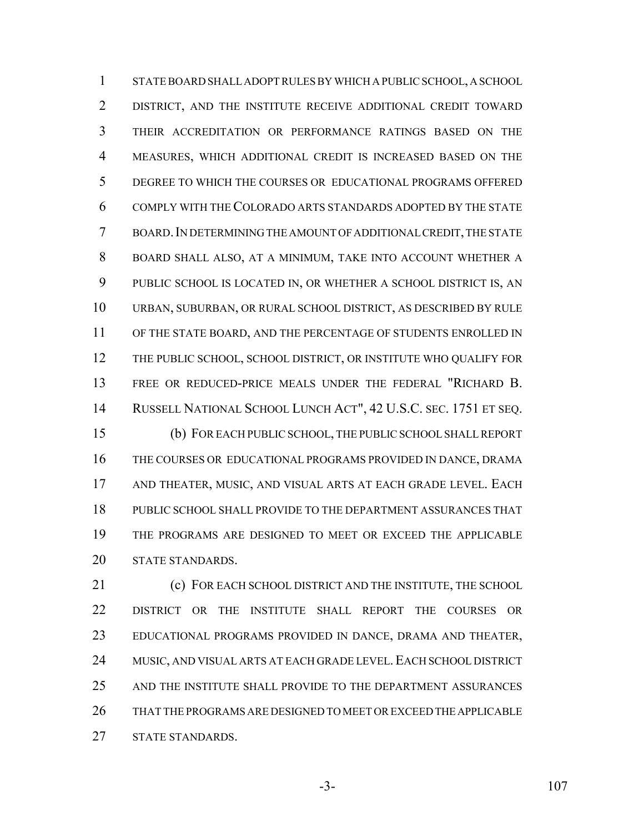STATE BOARD SHALL ADOPT RULES BY WHICH A PUBLIC SCHOOL, A SCHOOL DISTRICT, AND THE INSTITUTE RECEIVE ADDITIONAL CREDIT TOWARD THEIR ACCREDITATION OR PERFORMANCE RATINGS BASED ON THE MEASURES, WHICH ADDITIONAL CREDIT IS INCREASED BASED ON THE DEGREE TO WHICH THE COURSES OR EDUCATIONAL PROGRAMS OFFERED COMPLY WITH THE COLORADO ARTS STANDARDS ADOPTED BY THE STATE BOARD.IN DETERMINING THE AMOUNT OF ADDITIONAL CREDIT, THE STATE BOARD SHALL ALSO, AT A MINIMUM, TAKE INTO ACCOUNT WHETHER A PUBLIC SCHOOL IS LOCATED IN, OR WHETHER A SCHOOL DISTRICT IS, AN URBAN, SUBURBAN, OR RURAL SCHOOL DISTRICT, AS DESCRIBED BY RULE OF THE STATE BOARD, AND THE PERCENTAGE OF STUDENTS ENROLLED IN THE PUBLIC SCHOOL, SCHOOL DISTRICT, OR INSTITUTE WHO QUALIFY FOR FREE OR REDUCED-PRICE MEALS UNDER THE FEDERAL "RICHARD B. RUSSELL NATIONAL SCHOOL LUNCH ACT", 42 U.S.C. SEC. 1751 ET SEQ. (b) FOR EACH PUBLIC SCHOOL, THE PUBLIC SCHOOL SHALL REPORT THE COURSES OR EDUCATIONAL PROGRAMS PROVIDED IN DANCE, DRAMA AND THEATER, MUSIC, AND VISUAL ARTS AT EACH GRADE LEVEL. EACH PUBLIC SCHOOL SHALL PROVIDE TO THE DEPARTMENT ASSURANCES THAT THE PROGRAMS ARE DESIGNED TO MEET OR EXCEED THE APPLICABLE STATE STANDARDS.

21 (c) FOR EACH SCHOOL DISTRICT AND THE INSTITUTE, THE SCHOOL DISTRICT OR THE INSTITUTE SHALL REPORT THE COURSES OR EDUCATIONAL PROGRAMS PROVIDED IN DANCE, DRAMA AND THEATER, 24 MUSIC, AND VISUAL ARTS AT EACH GRADE LEVEL. EACH SCHOOL DISTRICT AND THE INSTITUTE SHALL PROVIDE TO THE DEPARTMENT ASSURANCES THAT THE PROGRAMS ARE DESIGNED TO MEET OR EXCEED THE APPLICABLE STATE STANDARDS.

-3- 107